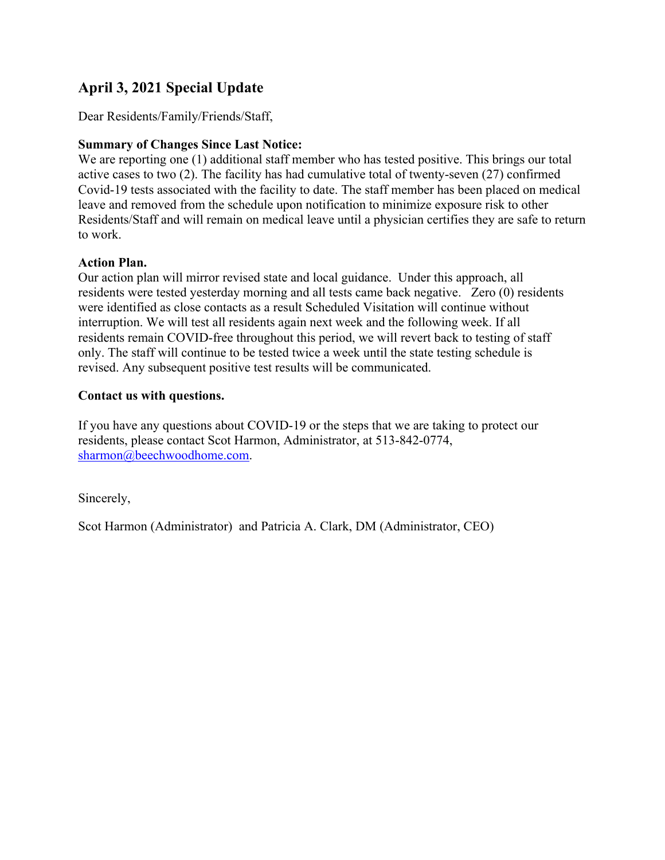### **April 3, 2021 Special Update**

Dear Residents/Family/Friends/Staff,

### **Summary of Changes Since Last Notice:**

We are reporting one (1) additional staff member who has tested positive. This brings our total active cases to two (2). The facility has had cumulative total of twenty-seven (27) confirmed Covid-19 tests associated with the facility to date. The staff member has been placed on medical leave and removed from the schedule upon notification to minimize exposure risk to other Residents/Staff and will remain on medical leave until a physician certifies they are safe to return to work.

#### **Action Plan.**

Our action plan will mirror revised state and local guidance. Under this approach, all residents were tested yesterday morning and all tests came back negative. Zero (0) residents were identified as close contacts as a result Scheduled Visitation will continue without interruption. We will test all residents again next week and the following week. If all residents remain COVID-free throughout this period, we will revert back to testing of staff only. The staff will continue to be tested twice a week until the state testing schedule is revised. Any subsequent positive test results will be communicated.

### **Contact us with questions.**

If you have any questions about COVID-19 or the steps that we are taking to protect our residents, please contact Scot Harmon, Administrator, at 513-842-0774, sharmon@beechwoodhome.com.

Sincerely,

Scot Harmon (Administrator) and Patricia A. Clark, DM (Administrator, CEO)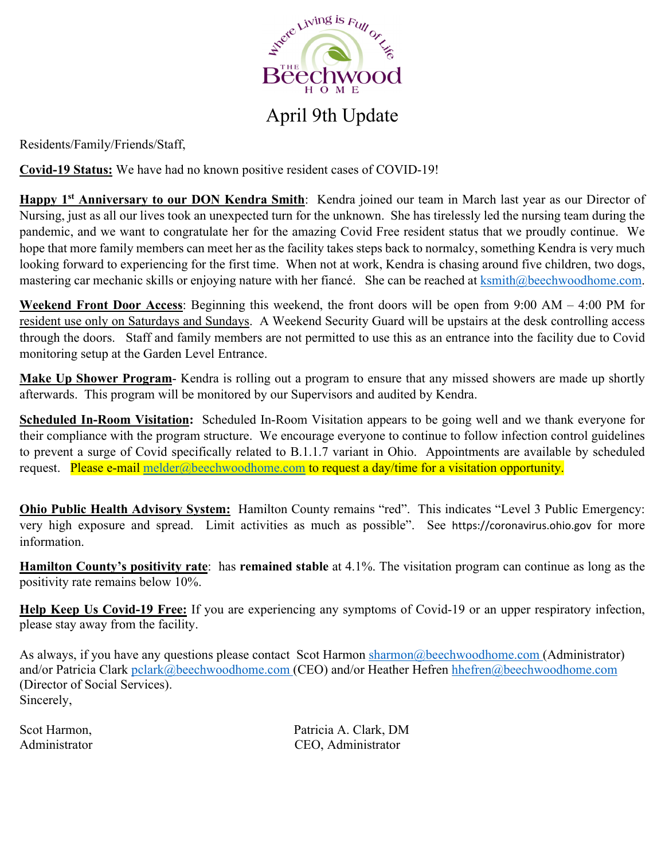

# April 9th Update

Residents/Family/Friends/Staff,

**Covid-19 Status:** We have had no known positive resident cases of COVID-19!

**Happy 1st Anniversary to our DON Kendra Smith**: Kendra joined our team in March last year as our Director of Nursing, just as all our lives took an unexpected turn for the unknown. She has tirelessly led the nursing team during the pandemic, and we want to congratulate her for the amazing Covid Free resident status that we proudly continue. We hope that more family members can meet her as the facility takes steps back to normalcy, something Kendra is very much looking forward to experiencing for the first time. When not at work, Kendra is chasing around five children, two dogs, mastering car mechanic skills or enjoying nature with her fiancé. She can be reached at ksmith@beechwoodhome.com.

**Weekend Front Door Access**: Beginning this weekend, the front doors will be open from 9:00 AM – 4:00 PM for resident use only on Saturdays and Sundays. A Weekend Security Guard will be upstairs at the desk controlling access through the doors. Staff and family members are not permitted to use this as an entrance into the facility due to Covid monitoring setup at the Garden Level Entrance.

**Make Up Shower Program**- Kendra is rolling out a program to ensure that any missed showers are made up shortly afterwards. This program will be monitored by our Supervisors and audited by Kendra.

**Scheduled In-Room Visitation:** Scheduled In-Room Visitation appears to be going well and we thank everyone for their compliance with the program structure. We encourage everyone to continue to follow infection control guidelines to prevent a surge of Covid specifically related to B.1.1.7 variant in Ohio. Appointments are available by scheduled request. Please e-mail melder@beechwoodhome.com to request a day/time for a visitation opportunity.

**Ohio Public Health Advisory System:** Hamilton County remains "red". This indicates "Level 3 Public Emergency: very high exposure and spread. Limit activities as much as possible". See https://coronavirus.ohio.gov for more information.

**Hamilton County's positivity rate**: has **remained stable** at 4.1%. The visitation program can continue as long as the positivity rate remains below 10%.

**Help Keep Us Covid-19 Free:** If you are experiencing any symptoms of Covid-19 or an upper respiratory infection, please stay away from the facility.

As always, if you have any questions please contact Scot Harmon sharmon@beechwoodhome.com (Administrator) and/or Patricia Clark pclark@beechwoodhome.com (CEO) and/or Heather Hefren hhefren@beechwoodhome.com (Director of Social Services). Sincerely,

Scot Harmon, Scot Harmon, Patricia A. Clark, DM Administrator CEO, Administrator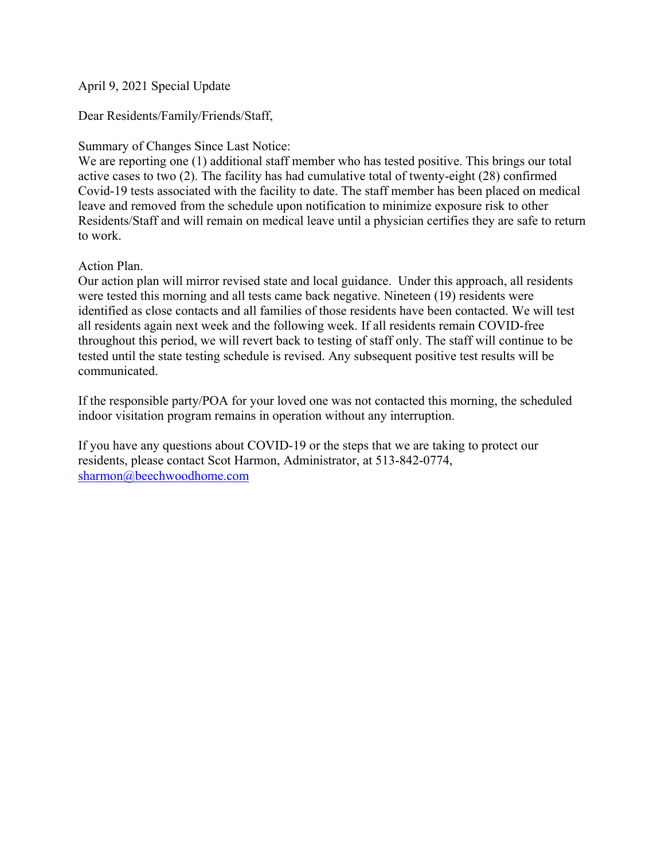April 9, 2021 Special Update

Dear Residents/Family/Friends/Staff,

Summary of Changes Since Last Notice:

We are reporting one (1) additional staff member who has tested positive. This brings our total active cases to two (2). The facility has had cumulative total of twenty-eight (28) confirmed Covid-19 tests associated with the facility to date. The staff member has been placed on medical leave and removed from the schedule upon notification to minimize exposure risk to other Residents/Staff and will remain on medical leave until a physician certifies they are safe to return to work.

Action Plan.

Our action plan will mirror revised state and local guidance. Under this approach, all residents were tested this morning and all tests came back negative. Nineteen (19) residents were identified as close contacts and all families of those residents have been contacted. We will test all residents again next week and the following week. If all residents remain COVID-free throughout this period, we will revert back to testing of staff only. The staff will continue to be tested until the state testing schedule is revised. Any subsequent positive test results will be communicated.

If the responsible party/POA for your loved one was not contacted this morning, the scheduled indoor visitation program remains in operation without any interruption.

If you have any questions about COVID-19 or the steps that we are taking to protect our residents, please contact Scot Harmon, Administrator, at 513-842-0774, sharmon@beechwoodhome.com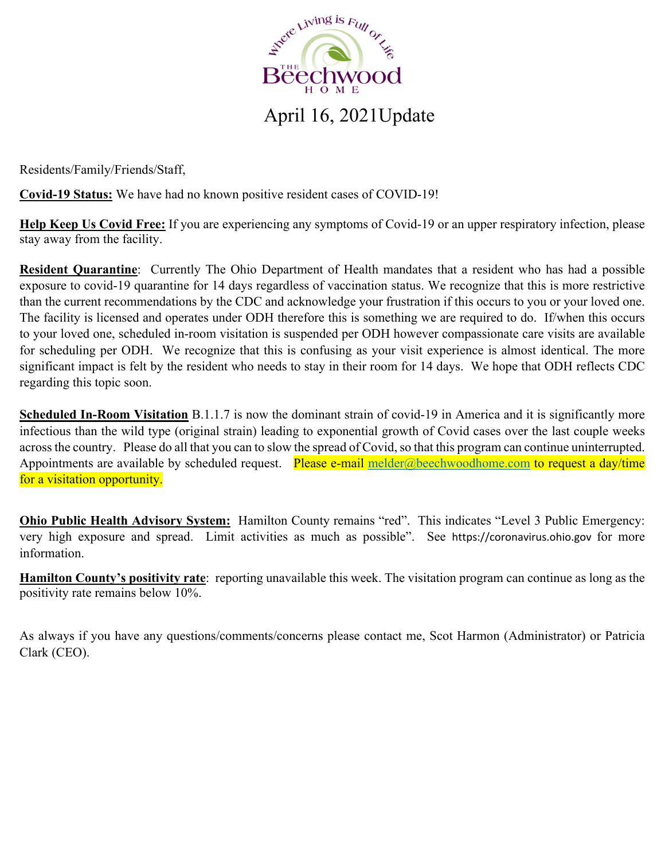

### April 16, 2021Update

Residents/Family/Friends/Staff,

**Covid-19 Status:** We have had no known positive resident cases of COVID-19!

**Help Keep Us Covid Free:** If you are experiencing any symptoms of Covid-19 or an upper respiratory infection, please stay away from the facility.

**Resident Quarantine**: Currently The Ohio Department of Health mandates that a resident who has had a possible exposure to covid-19 quarantine for 14 days regardless of vaccination status. We recognize that this is more restrictive than the current recommendations by the CDC and acknowledge your frustration if this occurs to you or your loved one. The facility is licensed and operates under ODH therefore this is something we are required to do. If/when this occurs to your loved one, scheduled in-room visitation is suspended per ODH however compassionate care visits are available for scheduling per ODH. We recognize that this is confusing as your visit experience is almost identical. The more significant impact is felt by the resident who needs to stay in their room for 14 days. We hope that ODH reflects CDC regarding this topic soon.

**Scheduled In-Room Visitation** B.1.1.7 is now the dominant strain of covid-19 in America and it is significantly more infectious than the wild type (original strain) leading to exponential growth of Covid cases over the last couple weeks across the country. Please do all that you can to slow the spread of Covid, so that this program can continue uninterrupted. Appointments are available by scheduled request. Please e-mail melder@beechwoodhome.com to request a day/time for a visitation opportunity.

**Ohio Public Health Advisory System:** Hamilton County remains "red". This indicates "Level 3 Public Emergency: very high exposure and spread. Limit activities as much as possible". See https://coronavirus.ohio.gov for more information.

**Hamilton County's positivity rate**: reporting unavailable this week. The visitation program can continue as long as the positivity rate remains below 10%.

As always if you have any questions/comments/concerns please contact me, Scot Harmon (Administrator) or Patricia Clark (CEO).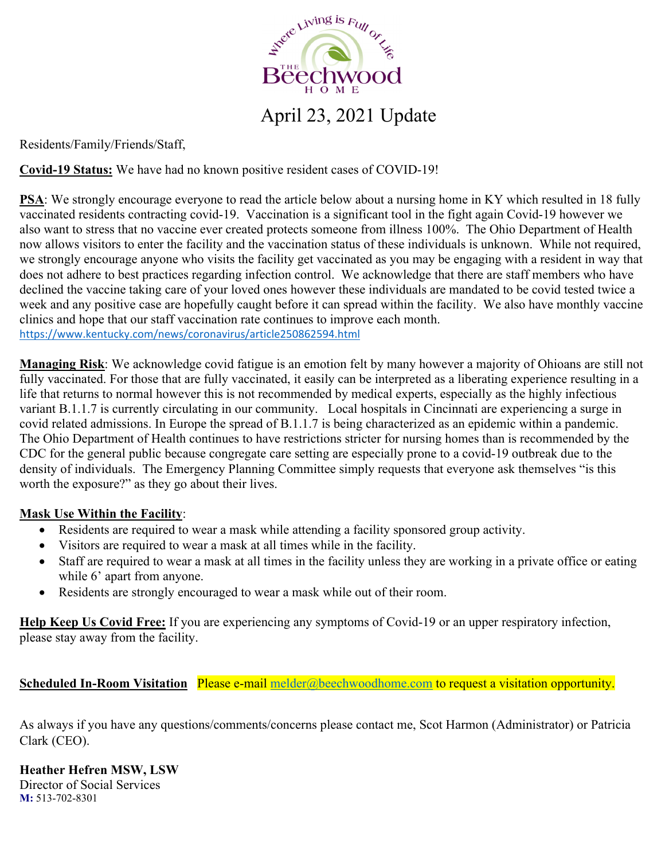

# April 23, 2021 Update

Residents/Family/Friends/Staff,

**Covid-19 Status:** We have had no known positive resident cases of COVID-19!

**PSA**: We strongly encourage everyone to read the article below about a nursing home in KY which resulted in 18 fully vaccinated residents contracting covid-19. Vaccination is a significant tool in the fight again Covid-19 however we also want to stress that no vaccine ever created protects someone from illness 100%. The Ohio Department of Health now allows visitors to enter the facility and the vaccination status of these individuals is unknown. While not required, we strongly encourage anyone who visits the facility get vaccinated as you may be engaging with a resident in way that does not adhere to best practices regarding infection control. We acknowledge that there are staff members who have declined the vaccine taking care of your loved ones however these individuals are mandated to be covid tested twice a week and any positive case are hopefully caught before it can spread within the facility. We also have monthly vaccine clinics and hope that our staff vaccination rate continues to improve each month. https://www.kentucky.com/news/coronavirus/article250862594.html

**Managing Risk**: We acknowledge covid fatigue is an emotion felt by many however a majority of Ohioans are still not fully vaccinated. For those that are fully vaccinated, it easily can be interpreted as a liberating experience resulting in a life that returns to normal however this is not recommended by medical experts, especially as the highly infectious variant B.1.1.7 is currently circulating in our community. Local hospitals in Cincinnati are experiencing a surge in covid related admissions. In Europe the spread of B.1.1.7 is being characterized as an epidemic within a pandemic. The Ohio Department of Health continues to have restrictions stricter for nursing homes than is recommended by the CDC for the general public because congregate care setting are especially prone to a covid-19 outbreak due to the density of individuals. The Emergency Planning Committee simply requests that everyone ask themselves "is this worth the exposure?" as they go about their lives.

#### **Mask Use Within the Facility**:

- Residents are required to wear a mask while attending a facility sponsored group activity.
- Visitors are required to wear a mask at all times while in the facility.
- Staff are required to wear a mask at all times in the facility unless they are working in a private office or eating while 6' apart from anyone.
- Residents are strongly encouraged to wear a mask while out of their room.

**Help Keep Us Covid Free:** If you are experiencing any symptoms of Covid-19 or an upper respiratory infection, please stay away from the facility.

**Scheduled In-Room Visitation** Please e-mail melder@beechwoodhome.com to request a visitation opportunity.

As always if you have any questions/comments/concerns please contact me, Scot Harmon (Administrator) or Patricia Clark (CEO).

**Heather Hefren MSW, LSW**

Director of Social Services **M:** 513-702-8301